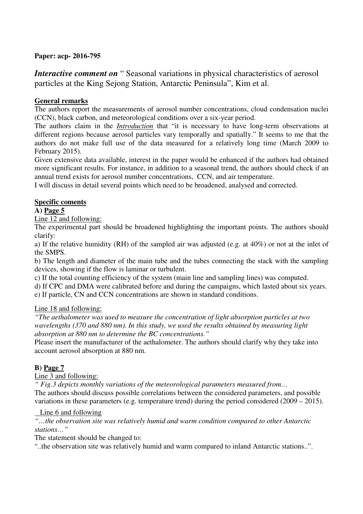### **Paper: acp- 2016-795**

*Interactive comment on* "Seasonal variations in physical characteristics of aerosol particles at the King Sejong Station, Antarctic Peninsula", Kim et al.

### **General remarks**

The authors report the measurements of aerosol number concentrations, cloud condensation nuclei (CCN), black carbon, and meteorological conditions over a six-year period.

The authors claim in the *Introduction* that "it is necessary to have long-term observations at different regions because aerosol particles vary temporally and spatially." It seems to me that the authors do not make full use of the data measured for a relatively long time (March 2009 to February 2015).

Given extensive data available, interest in the paper would be enhanced if the authors had obtained more significant results. For instance, in addition to a seasonal trend, the authors should check if an annual trend exists for aerosol number concentrations, CCN, and air temperature.

I will discuss in detail several points which need to be broadened, analysed and corrected.

## **Specific coments**

**A) Page 5**

Line 12 and following:

The experimental part should be broadened highlighting the important points. The authors should clarify:

a) If the relative humidity (RH) of the sampled air was adjusted (e.g. at 40%) or not at the inlet of the SMPS.

b) The length and diameter of the main tube and the tubes connecting the stack with the sampling devices, showing if the flow is laminar or turbulent.

c) If the total counting efficiency of the system (main line and sampling lines) was computed.

d) If CPC and DMA were calibrated before and during the campaigns, which lasted about six years.

e) If particle, CN and CCN concentrations are shown in standard conditions.

### Line 18 and following:

*"The aethalometer was used to measure the concentration of light absorption particles at two wavelengths (370 and 880 nm). In this study, we used the results obtained by measuring light absorption at 880 nm to determine the BC concentrations."* 

Please insert the manufacturer of the aethalometer. The authors should clarify why they take into account aerosol absorption at 880 nm.

### **B) Page 7**

Line 3 and following:

*" Fig.3 depicts monthly variations of the meteorological parameters measured from…*  The authors should discuss possible correlations between the considered parameters, and possible variations in these parameters (e.g. temperature trend) during the period considered (2009 – 2015).

#### Line 6 and following

*"…the observation site was relatively humid and warm condition compared to other Antarctic stations…"*

The statement should be changed to:

"..the observation site was relatively humid and warm compared to inland Antarctic stations..".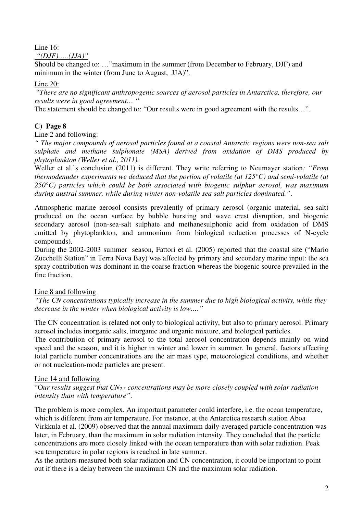# Line 16:

*"(DJF)…..(JJA)"* 

Should be changed to: …"maximum in the summer (from December to February, DJF) and minimum in the winter (from June to August, JJA)".

Line 20:

 "*There are no significant anthropogenic sources of aerosol particles in Antarctica, therefore, our results were in good agreement… "*

The statement should be changed to: "Our results were in good agreement with the results…".

# **C) Page 8**

### Line 2 and following:

*" The major compounds of aerosol particles found at a coastal Antarctic regions were non-sea salt sulphate and methane sulphonate (MSA) derived from oxidation of DMS produced by phytoplankton (Weller et al., 2011).* 

Weller et al.'s conclusion (2011) is different. They write referring to Neumayer station*: "From thermodenuder experiments we deduced that the portion of volatile (at 125°C) and semi-volatile (at 250°C) particles which could be both associated with biogenic sulphur aerosol, was maximum during austral summer, while during winter non-volatile sea salt particles dominated."*.

Atmospheric marine aerosol consists prevalently of primary aerosol (organic material, sea-salt) produced on the ocean surface by bubble bursting and wave crest disruption, and biogenic secondary aerosol (non-sea-salt sulphate and methanesulphonic acid from oxidation of DMS emitted by phytoplankton, and ammonium from biological reduction processes of N-cycle compounds).

During the 2002-2003 summer season, Fattori et al. (2005) reported that the coastal site ("Mario Zucchelli Station" in Terra Nova Bay) was affected by primary and secondary marine input: the sea spray contribution was dominant in the coarse fraction whereas the biogenic source prevailed in the fine fraction.

### Line 8 and following

*"The CN concentrations typically increase in the summer due to high biological activity, while they decrease in the winter when biological activity is low.…"* 

The CN concentration is related not only to biological activity, but also to primary aerosol. Primary aerosol includes inorganic salts, inorganic and organic mixture, and biological particles.

The contribution of primary aerosol to the total aerosol concentration depends mainly on wind speed and the season, and it is higher in winter and lower in summer. In general, factors affecting total particle number concentrations are the air mass type, meteorological conditions, and whether or not nucleation-mode particles are present.

### Line 14 and following

"O*ur results suggest that CN2.5 concentrations may be more closely coupled with solar radiation intensity than with temperature"*.

The problem is more complex. An important parameter could interfere, i.e. the ocean temperature, which is different from air temperature. For instance, at the Antarctica research station Aboa Virkkula et al. (2009) observed that the annual maximum daily-averaged particle concentration was later, in February, than the maximum in solar radiation intensity. They concluded that the particle concentrations are more closely linked with the ocean temperature than with solar radiation. Peak sea temperature in polar regions is reached in late summer.

As the authors measured both solar radiation and CN concentration, it could be important to point out if there is a delay between the maximum CN and the maximum solar radiation.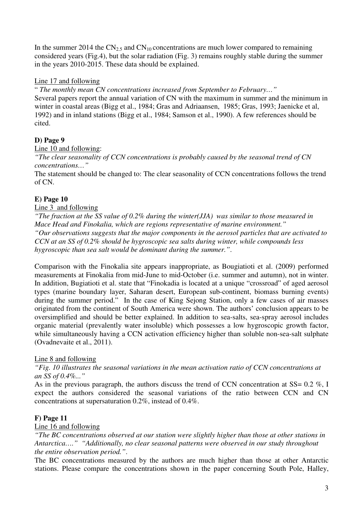In the summer 2014 the  $CN_{2.5}$  and  $CN_{10}$  concentrations are much lower compared to remaining considered years (Fig.4), but the solar radiation (Fig. 3) remains roughly stable during the summer in the years 2010-2015. These data should be explained.

### Line 17 and following

" *The monthly mean CN concentrations increased from September to February…"*  Several papers report the annual variation of CN with the maximum in summer and the minimum in winter in coastal areas (Bigg et al., 1984; Gras and Adriaansen, 1985; Gras, 1993; Jaenicke et al, 1992) and in inland stations (Bigg et al., 1984; Samson et al., 1990). A few references should be cited.

# **D) Page 9**

Line 10 and following:

*"The clear seasonality of CCN concentrations is probably caused by the seasonal trend of CN concentrations…"* 

The statement should be changed to: The clear seasonality of CCN concentrations follows the trend of CN.

# **E) Page 10**

## Line 3 and following

*"The fraction at the SS value of 0.2% during the winter(JJA) was similar to those measured in Mace Head and Finokalia, which are regions representative of marine environment." "Our observations suggests that the major components in the aerosol particles that are activated to CCN at an SS of 0.2% should be hygroscopic sea salts during winter, while compounds less hygroscopic than sea salt would be dominant during the summer."*.

Comparison with the Finokalia site appears inappropriate, as Bougiatioti et al. (2009) performed measurements at Finokalia from mid-June to mid-October (i.e. summer and autumn), not in winter. In addition, Bugiatioti et al. state that "Finokadia is located at a unique "crossroad" of aged aerosol types (marine boundary layer, Saharan desert, European sub-continent, biomass burning events) during the summer period." In the case of King Sejong Station, only a few cases of air masses originated from the continent of South America were shown. The authors' conclusion appears to be oversimplified and should be better explained. In addition to sea-salts, sea-spray aerosol includes organic material (prevalently water insoluble) which possesses a low hygroscopic growth factor, while simultaneously having a CCN activation efficiency higher than soluble non-sea-salt sulphate (Ovadnevaite et al., 2011).

# Line 8 and following

*"Fig. 10 illustrates the seasonal variations in the mean activation ratio of CCN concentrations at an SS of 0.4%..."* 

As in the previous paragraph, the authors discuss the trend of CCN concentration at  $SS = 0.2$  %, I expect the authors considered the seasonal variations of the ratio between CCN and CN concentrations at supersaturation 0.2%, instead of 0.4%.

# **F) Page 11**

### Line 16 and following

*"The BC concentrations observed at our station were slightly higher than those at other stations in Antarctica…." "Additionally, no clear seasonal patterns were observed in our study throughout the entire observation period."*.

The BC concentrations measured by the authors are much higher than those at other Antarctic stations. Please compare the concentrations shown in the paper concerning South Pole, Halley,